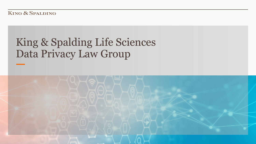KING & SPALDING

# King & Spalding Life Sciences Data Privacy Law Group

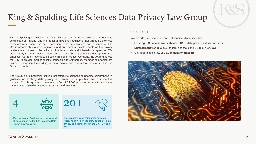## King & Spalding Life Sciences Data Privacy Law Group

King & Spalding established the Data Privacy Law Group to provide a resource to companies on national and international laws and regulations that target life sciences manufacturers' operations and interactions with organizations and consumers. The Group proactively monitors regulatory and enforcement developments as the privacy landscape continues to be a focus of federal, state and international agencies. We stand ready to assist member companies in establishing compliant data governance practices. Our team leverages offices in Belgium, France, Germany, the UK and across the U.S. to provide market-specific counseling to companies. Member companies are invited to offer input regarding specific regions and codes that they would like the Group to monitor.

The Group is a subscription service that offers life sciences companies comprehensive guidance on evolving data privacy requirements in a practical and cost-effective manner. Our flat quarterly membership fee of \$4,000 provides access to a suite of national and international global resources and services.



life sciences professionals across several offices supporting the Life Sciences Data Privacy Law Coalition.





pharma and device companies currently receiving advice on the growing area of data privacy and compliance in the U.S., UK and EU.

### AREAS OF FOCUS

We provide guidance on an array of considerations, including:

- **Existing U.S. federal and state** and **EU/UK** data privacy and security laws
- **Enforcement trends** at U.S. federal and state and EU regulatory level
- U.S. federal and state and EU **legislation tracking**